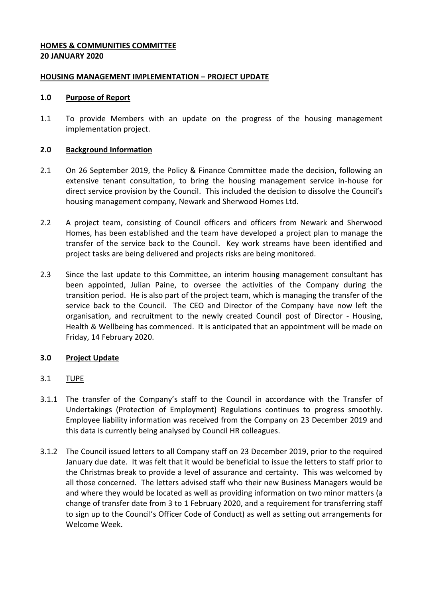## **HOMES & COMMUNITIES COMMITTEE 20 JANUARY 2020**

## **HOUSING MANAGEMENT IMPLEMENTATION – PROJECT UPDATE**

#### **1.0 Purpose of Report**

1.1 To provide Members with an update on the progress of the housing management implementation project.

## **2.0 Background Information**

- 2.1 On 26 September 2019, the Policy & Finance Committee made the decision, following an extensive tenant consultation, to bring the housing management service in-house for direct service provision by the Council. This included the decision to dissolve the Council's housing management company, Newark and Sherwood Homes Ltd.
- 2.2 A project team, consisting of Council officers and officers from Newark and Sherwood Homes, has been established and the team have developed a project plan to manage the transfer of the service back to the Council. Key work streams have been identified and project tasks are being delivered and projects risks are being monitored.
- 2.3 Since the last update to this Committee, an interim housing management consultant has been appointed, Julian Paine, to oversee the activities of the Company during the transition period. He is also part of the project team, which is managing the transfer of the service back to the Council. The CEO and Director of the Company have now left the organisation, and recruitment to the newly created Council post of Director - Housing, Health & Wellbeing has commenced. It is anticipated that an appointment will be made on Friday, 14 February 2020.

# **3.0 Project Update**

- 3.1 TUPE
- 3.1.1 The transfer of the Company's staff to the Council in accordance with the Transfer of Undertakings (Protection of Employment) Regulations continues to progress smoothly. Employee liability information was received from the Company on 23 December 2019 and this data is currently being analysed by Council HR colleagues.
- 3.1.2 The Council issued letters to all Company staff on 23 December 2019, prior to the required January due date. It was felt that it would be beneficial to issue the letters to staff prior to the Christmas break to provide a level of assurance and certainty. This was welcomed by all those concerned. The letters advised staff who their new Business Managers would be and where they would be located as well as providing information on two minor matters (a change of transfer date from 3 to 1 February 2020, and a requirement for transferring staff to sign up to the Council's Officer Code of Conduct) as well as setting out arrangements for Welcome Week.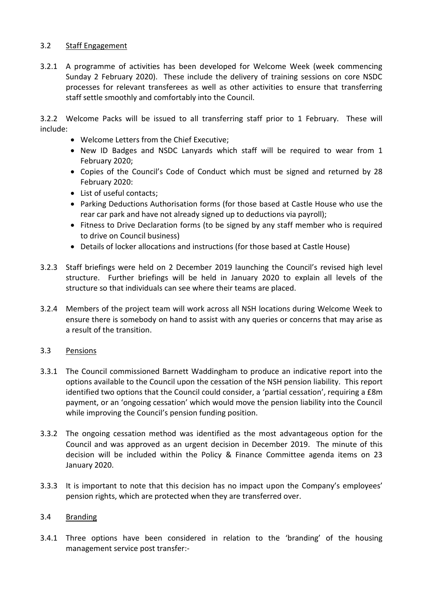## 3.2 Staff Engagement

3.2.1 A programme of activities has been developed for Welcome Week (week commencing Sunday 2 February 2020). These include the delivery of training sessions on core NSDC processes for relevant transferees as well as other activities to ensure that transferring staff settle smoothly and comfortably into the Council.

3.2.2 Welcome Packs will be issued to all transferring staff prior to 1 February. These will include:

- Welcome Letters from the Chief Executive;
- New ID Badges and NSDC Lanyards which staff will be required to wear from 1 February 2020;
- Copies of the Council's Code of Conduct which must be signed and returned by 28 February 2020:
- List of useful contacts:
- Parking Deductions Authorisation forms (for those based at Castle House who use the rear car park and have not already signed up to deductions via payroll);
- Fitness to Drive Declaration forms (to be signed by any staff member who is required to drive on Council business)
- Details of locker allocations and instructions (for those based at Castle House)
- 3.2.3 Staff briefings were held on 2 December 2019 launching the Council's revised high level structure. Further briefings will be held in January 2020 to explain all levels of the structure so that individuals can see where their teams are placed.
- 3.2.4 Members of the project team will work across all NSH locations during Welcome Week to ensure there is somebody on hand to assist with any queries or concerns that may arise as a result of the transition.

# 3.3 Pensions

- 3.3.1 The Council commissioned Barnett Waddingham to produce an indicative report into the options available to the Council upon the cessation of the NSH pension liability. This report identified two options that the Council could consider, a 'partial cessation', requiring a £8m payment, or an 'ongoing cessation' which would move the pension liability into the Council while improving the Council's pension funding position.
- 3.3.2 The ongoing cessation method was identified as the most advantageous option for the Council and was approved as an urgent decision in December 2019. The minute of this decision will be included within the Policy & Finance Committee agenda items on 23 January 2020.
- 3.3.3 It is important to note that this decision has no impact upon the Company's employees' pension rights, which are protected when they are transferred over.

#### 3.4 Branding

3.4.1 Three options have been considered in relation to the 'branding' of the housing management service post transfer:-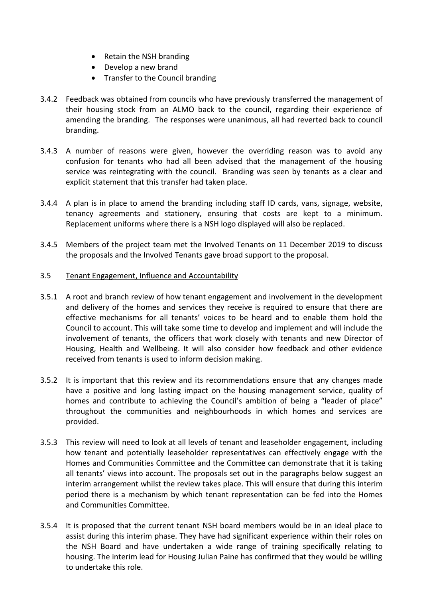- Retain the NSH branding
- Develop a new brand
- Transfer to the Council branding
- 3.4.2 Feedback was obtained from councils who have previously transferred the management of their housing stock from an ALMO back to the council, regarding their experience of amending the branding. The responses were unanimous, all had reverted back to council branding.
- 3.4.3 A number of reasons were given, however the overriding reason was to avoid any confusion for tenants who had all been advised that the management of the housing service was reintegrating with the council. Branding was seen by tenants as a clear and explicit statement that this transfer had taken place.
- 3.4.4 A plan is in place to amend the branding including staff ID cards, vans, signage, website, tenancy agreements and stationery, ensuring that costs are kept to a minimum. Replacement uniforms where there is a NSH logo displayed will also be replaced.
- 3.4.5 Members of the project team met the Involved Tenants on 11 December 2019 to discuss the proposals and the Involved Tenants gave broad support to the proposal.

## 3.5 Tenant Engagement, Influence and Accountability

- 3.5.1 A root and branch review of how tenant engagement and involvement in the development and delivery of the homes and services they receive is required to ensure that there are effective mechanisms for all tenants' voices to be heard and to enable them hold the Council to account. This will take some time to develop and implement and will include the involvement of tenants, the officers that work closely with tenants and new Director of Housing, Health and Wellbeing. It will also consider how feedback and other evidence received from tenants is used to inform decision making.
- 3.5.2 It is important that this review and its recommendations ensure that any changes made have a positive and long lasting impact on the housing management service, quality of homes and contribute to achieving the Council's ambition of being a "leader of place" throughout the communities and neighbourhoods in which homes and services are provided.
- 3.5.3 This review will need to look at all levels of tenant and leaseholder engagement, including how tenant and potentially leaseholder representatives can effectively engage with the Homes and Communities Committee and the Committee can demonstrate that it is taking all tenants' views into account. The proposals set out in the paragraphs below suggest an interim arrangement whilst the review takes place. This will ensure that during this interim period there is a mechanism by which tenant representation can be fed into the Homes and Communities Committee.
- 3.5.4 It is proposed that the current tenant NSH board members would be in an ideal place to assist during this interim phase. They have had significant experience within their roles on the NSH Board and have undertaken a wide range of training specifically relating to housing. The interim lead for Housing Julian Paine has confirmed that they would be willing to undertake this role.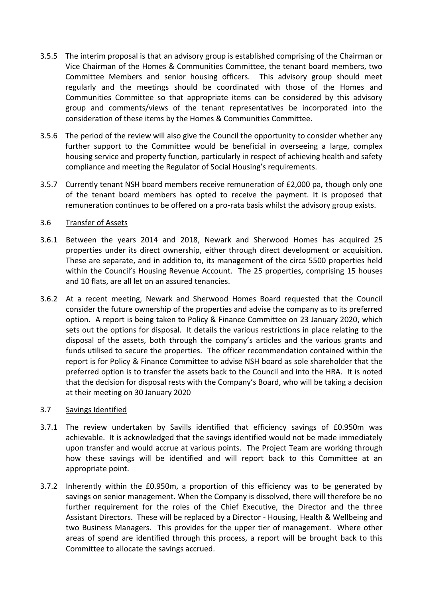- 3.5.5 The interim proposal is that an advisory group is established comprising of the Chairman or Vice Chairman of the Homes & Communities Committee, the tenant board members, two Committee Members and senior housing officers. This advisory group should meet regularly and the meetings should be coordinated with those of the Homes and Communities Committee so that appropriate items can be considered by this advisory group and comments/views of the tenant representatives be incorporated into the consideration of these items by the Homes & Communities Committee.
- 3.5.6 The period of the review will also give the Council the opportunity to consider whether any further support to the Committee would be beneficial in overseeing a large, complex housing service and property function, particularly in respect of achieving health and safety compliance and meeting the Regulator of Social Housing's requirements.
- 3.5.7 Currently tenant NSH board members receive remuneration of £2,000 pa, though only one of the tenant board members has opted to receive the payment. It is proposed that remuneration continues to be offered on a pro-rata basis whilst the advisory group exists.

## 3.6 Transfer of Assets

- 3.6.1 Between the years 2014 and 2018, Newark and Sherwood Homes has acquired 25 properties under its direct ownership, either through direct development or acquisition. These are separate, and in addition to, its management of the circa 5500 properties held within the Council's Housing Revenue Account. The 25 properties, comprising 15 houses and 10 flats, are all let on an assured tenancies.
- 3.6.2 At a recent meeting, Newark and Sherwood Homes Board requested that the Council consider the future ownership of the properties and advise the company as to its preferred option. A report is being taken to Policy & Finance Committee on 23 January 2020, which sets out the options for disposal. It details the various restrictions in place relating to the disposal of the assets, both through the company's articles and the various grants and funds utilised to secure the properties. The officer recommendation contained within the report is for Policy & Finance Committee to advise NSH board as sole shareholder that the preferred option is to transfer the assets back to the Council and into the HRA. It is noted that the decision for disposal rests with the Company's Board, who will be taking a decision at their meeting on 30 January 2020

#### 3.7 Savings Identified

- 3.7.1 The review undertaken by Savills identified that efficiency savings of £0.950m was achievable. It is acknowledged that the savings identified would not be made immediately upon transfer and would accrue at various points. The Project Team are working through how these savings will be identified and will report back to this Committee at an appropriate point.
- 3.7.2 Inherently within the £0.950m, a proportion of this efficiency was to be generated by savings on senior management. When the Company is dissolved, there will therefore be no further requirement for the roles of the Chief Executive, the Director and the three Assistant Directors. These will be replaced by a Director - Housing, Health & Wellbeing and two Business Managers. This provides for the upper tier of management. Where other areas of spend are identified through this process, a report will be brought back to this Committee to allocate the savings accrued.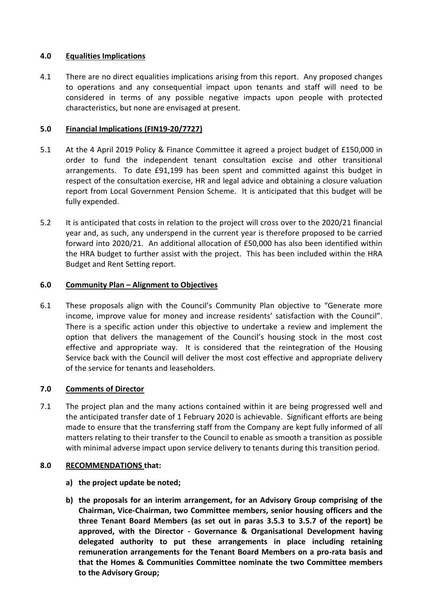## **4.0 Equalities Implications**

4.1 There are no direct equalities implications arising from this report. Any proposed changes to operations and any consequential impact upon tenants and staff will need to be considered in terms of any possible negative impacts upon people with protected characteristics, but none are envisaged at present.

## **5.0 Financial Implications (FIN19-20/7727)**

- 5.1 At the 4 April 2019 Policy & Finance Committee it agreed a project budget of £150,000 in order to fund the independent tenant consultation excise and other transitional arrangements. To date £91,199 has been spent and committed against this budget in respect of the consultation exercise, HR and legal advice and obtaining a closure valuation report from Local Government Pension Scheme. It is anticipated that this budget will be fully expended.
- 5.2 It is anticipated that costs in relation to the project will cross over to the 2020/21 financial year and, as such, any underspend in the current year is therefore proposed to be carried forward into 2020/21. An additional allocation of £50,000 has also been identified within the HRA budget to further assist with the project. This has been included within the HRA Budget and Rent Setting report.

## **6.0 Community Plan – Alignment to Objectives**

6.1 These proposals align with the Council's Community Plan objective to "Generate more income, improve value for money and increase residents' satisfaction with the Council". There is a specific action under this objective to undertake a review and implement the option that delivers the management of the Council's housing stock in the most cost effective and appropriate way. It is considered that the reintegration of the Housing Service back with the Council will deliver the most cost effective and appropriate delivery of the service for tenants and leaseholders.

# **7.0 Comments of Director**

7.1 The project plan and the many actions contained within it are being progressed well and the anticipated transfer date of 1 February 2020 is achievable. Significant efforts are being made to ensure that the transferring staff from the Company are kept fully informed of all matters relating to their transfer to the Council to enable as smooth a transition as possible with minimal adverse impact upon service delivery to tenants during this transition period.

#### **8.0 RECOMMENDATIONS that:**

- **a) the project update be noted;**
- **b) the proposals for an interim arrangement, for an Advisory Group comprising of the Chairman, Vice-Chairman, two Committee members, senior housing officers and the three Tenant Board Members (as set out in paras 3.5.3 to 3.5.7 of the report) be approved, with the Director - Governance & Organisational Development having delegated authority to put these arrangements in place including retaining remuneration arrangements for the Tenant Board Members on a pro-rata basis and that the Homes & Communities Committee nominate the two Committee members to the Advisory Group;**